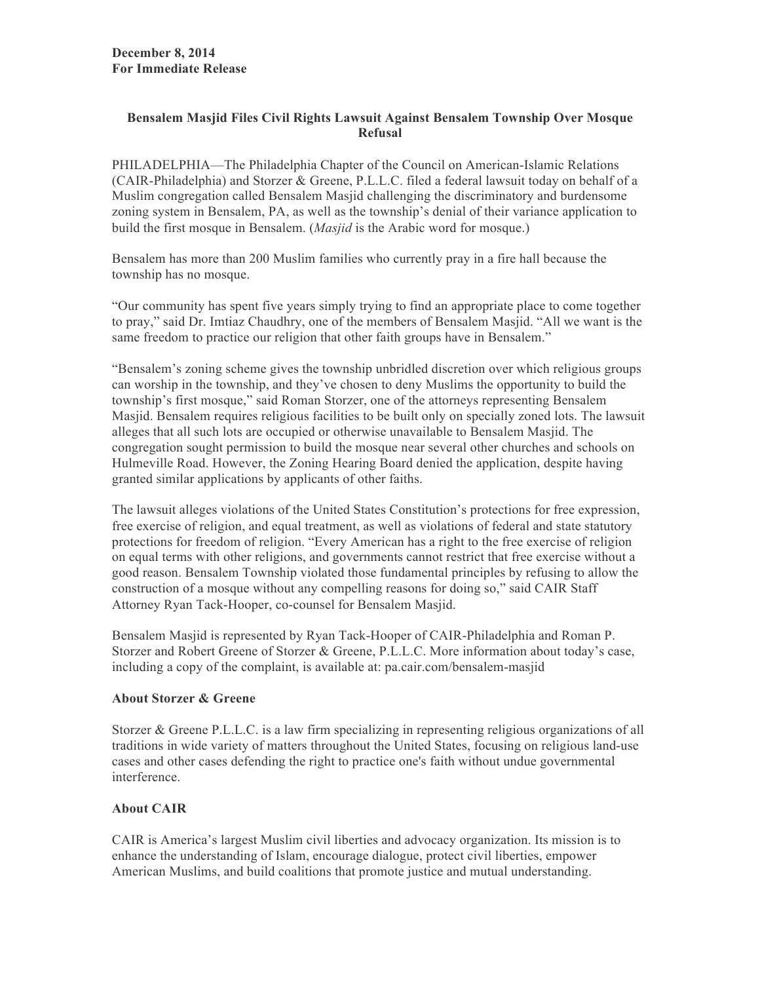## **Bensalem Masjid Files Civil Rights Lawsuit Against Bensalem Township Over Mosque Refusal**

PHILADELPHIA—The Philadelphia Chapter of the Council on American-Islamic Relations (CAIR-Philadelphia) and Storzer & Greene, P.L.L.C. filed a federal lawsuit today on behalf of a Muslim congregation called Bensalem Masjid challenging the discriminatory and burdensome zoning system in Bensalem, PA, as well as the township's denial of their variance application to build the first mosque in Bensalem. (*Masjid* is the Arabic word for mosque.)

Bensalem has more than 200 Muslim families who currently pray in a fire hall because the township has no mosque.

"Our community has spent five years simply trying to find an appropriate place to come together to pray," said Dr. Imtiaz Chaudhry, one of the members of Bensalem Masjid. "All we want is the same freedom to practice our religion that other faith groups have in Bensalem."

"Bensalem's zoning scheme gives the township unbridled discretion over which religious groups can worship in the township, and they've chosen to deny Muslims the opportunity to build the township's first mosque," said Roman Storzer, one of the attorneys representing Bensalem Masjid. Bensalem requires religious facilities to be built only on specially zoned lots. The lawsuit alleges that all such lots are occupied or otherwise unavailable to Bensalem Masjid. The congregation sought permission to build the mosque near several other churches and schools on Hulmeville Road. However, the Zoning Hearing Board denied the application, despite having granted similar applications by applicants of other faiths.

The lawsuit alleges violations of the United States Constitution's protections for free expression, free exercise of religion, and equal treatment, as well as violations of federal and state statutory protections for freedom of religion. "Every American has a right to the free exercise of religion on equal terms with other religions, and governments cannot restrict that free exercise without a good reason. Bensalem Township violated those fundamental principles by refusing to allow the construction of a mosque without any compelling reasons for doing so," said CAIR Staff Attorney Ryan Tack-Hooper, co-counsel for Bensalem Masjid.

Bensalem Masjid is represented by Ryan Tack-Hooper of CAIR-Philadelphia and Roman P. Storzer and Robert Greene of Storzer & Greene, P.L.L.C. More information about today's case, including a copy of the complaint, is available at: pa.cair.com/bensalem-masjid

## **About Storzer & Greene**

Storzer & Greene P.L.L.C. is a law firm specializing in representing religious organizations of all traditions in wide variety of matters throughout the United States, focusing on religious land-use cases and other cases defending the right to practice one's faith without undue governmental interference.

## **About CAIR**

CAIR is America's largest Muslim civil liberties and advocacy organization. Its mission is to enhance the understanding of Islam, encourage dialogue, protect civil liberties, empower American Muslims, and build coalitions that promote justice and mutual understanding.